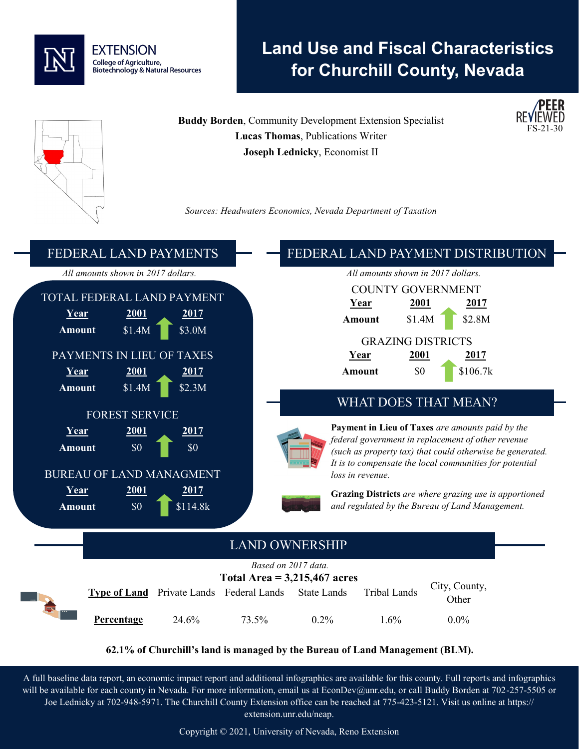

# **Land Use and Fiscal Characteristics for Churchill County, Nevada**

FS-21-30 **Buddy Borden**, Community Development Extension Specialist **Lucas Thomas**, Publications Writer **Joseph Lednicky**, Economist II *Sources: Headwaters Economics, Nevada Department of Taxation* FEDERAL LAND PAYMENTS *All amounts shown in 2017 dollars.* TOTAL FEDERAL LAND PAYMENT **Year 2001 2017 Amount** \$1.4M \$3.0M PAYMENTS IN LIEU OF TAXES **Year 2001 2017 Amount** \$1.4M \$2.3M FOREST SERVICE **Year 2001 2017 Amount**  $\begin{array}{c} 80 \end{array}$  \$0 BUREAU OF LAND MANAGMENT **Year 2001 2017 Amount** \$0 **6** \$114.8k FEDERAL LAND PAYMENT DISTRIBUTION *All amounts shown in 2017 dollars.* COUNTY GOVERNMENT **Year 2001 2017 Amount** \$1.4M \$2.8M GRAZING DISTRICTS **Year 2001 2017 Amount** \$0 **1** \$106.7k WHAT DOES THAT MEAN? **Payment in Lieu of Taxes** *are amounts paid by the federal government in replacement of other revenue (such as property tax) that could otherwise be generated. It is to compensate the local communities for potential loss in revenue.*  **Grazing Districts** *are where grazing use is apportioned and regulated by the Bureau of Land Management.*  LAND OWNERSHIP *Based on 2017 data.* **Total Area = 3,215,467 acres Type of Land** Private Lands Federal Lands State Lands Tribal Lands City, County, **Other Percentage** 24.6% 73.5% 0.2% 1.6% 0.0%

**62.1% of Churchill's land is managed by the Bureau of Land Management (BLM).**

A full baseline data report, an economic impact report and additional infographics are available for this county. Full reports and infographics will be available for each county in Nevada. For more information, email us at EconDev@unr.edu, or call Buddy Borden at 702-257-5505 or Joe Lednicky at 702-948-5971. The Churchill County Extension office can be reached at 775-423-5121. Visit us online at https:// extension.unr.edu/neap.

Copyright © 2021, University of Nevada, Reno Extension